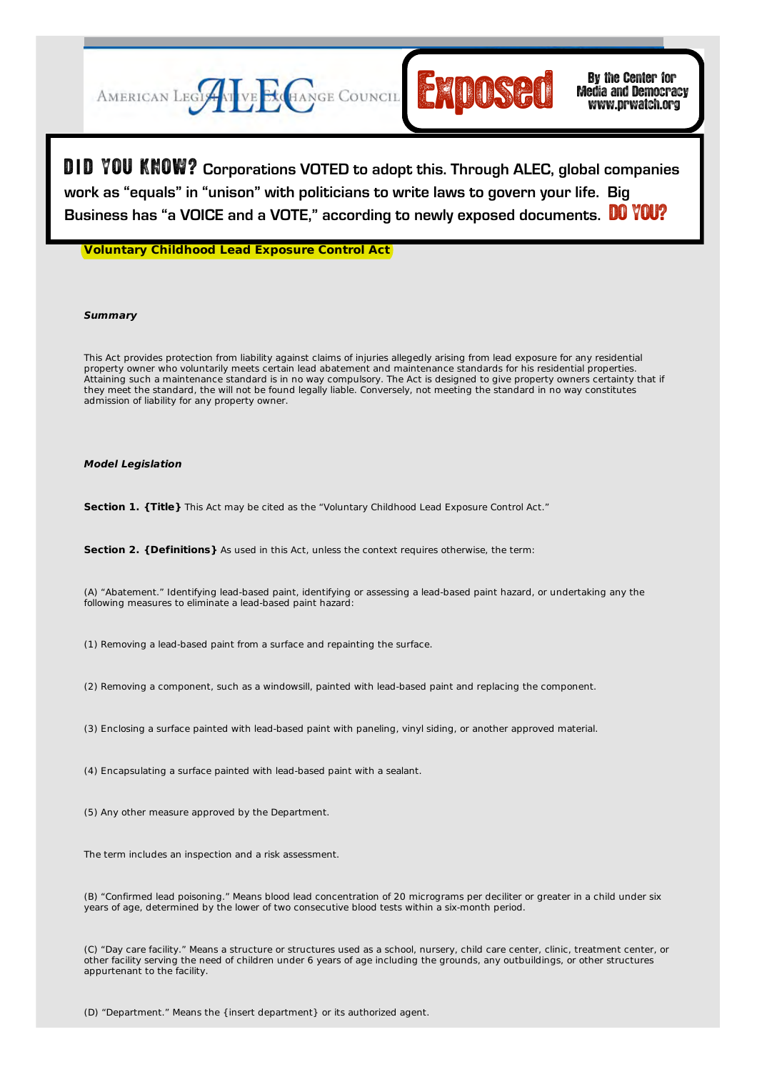

Search GO **LOGIN** | **LOGOUT** | **HOME** | **JOIN ALEC** | **CONTACT** D **I** D YOU KNOW? **Corporations VOTED to adopt this. Through ALEC, global companies**  work as "equals" in "unison" with politicians to write laws to govern your life. Big Business has "a VOICE and a VOTE," according to newly exposed documents. **DO YOU?** 

**Voluntary Childhood Lead Exposure Control Act**

# **Summary**

This Act provides protection from liability against claims of injuries allegedly arising from lead exposure for any residential property owner who voluntarily meets certain lead abatement and maintenance standards for his residential properties. Attaining such a maintenance standard is in no way compulsory. The Act is designed to give property owners certainty that if they meet the standard, the will not be found legally liable. Conversely, not meeting the standard in no way constitutes admission of liability for any property owner.

# **Model Legislation**

**Section 1. {Title}** This Act may be cited as the "Voluntary Childhood Lead Exposure Control Act."

**Section 2. {Definitions}** As used in this Act, unless the context requires otherwise, the term:

(A) "Abatement." Identifying lead-based paint, identifying or assessing a lead-based paint hazard, or undertaking any the following measures to eliminate a lead-based paint hazard:

(1) Removing a lead-based paint from a surface and repainting the surface.

(2) Removing a component, such as a windowsill, painted with lead-based paint and replacing the component.

(3) Enclosing a surface painted with lead-based paint with paneling, vinyl siding, or another approved material.

(4) Encapsulating a surface painted with lead-based paint with a sealant.

(5) Any other measure approved by the Department.

The term includes an inspection and a risk assessment.

(B) "Confirmed lead poisoning." Means blood lead concentration of 20 micrograms per deciliter or greater in a child under six years of age, determined by the lower of two consecutive blood tests within a six-month period.

(C) "Day care facility." Means a structure or structures used as a school, nursery, child care center, clinic, treatment center, or other facility serving the need of children under 6 years of age including the grounds, any outbuildings, or other structures appurtenant to the facility.

(D) "Department." Means the {insert department} or its authorized agent.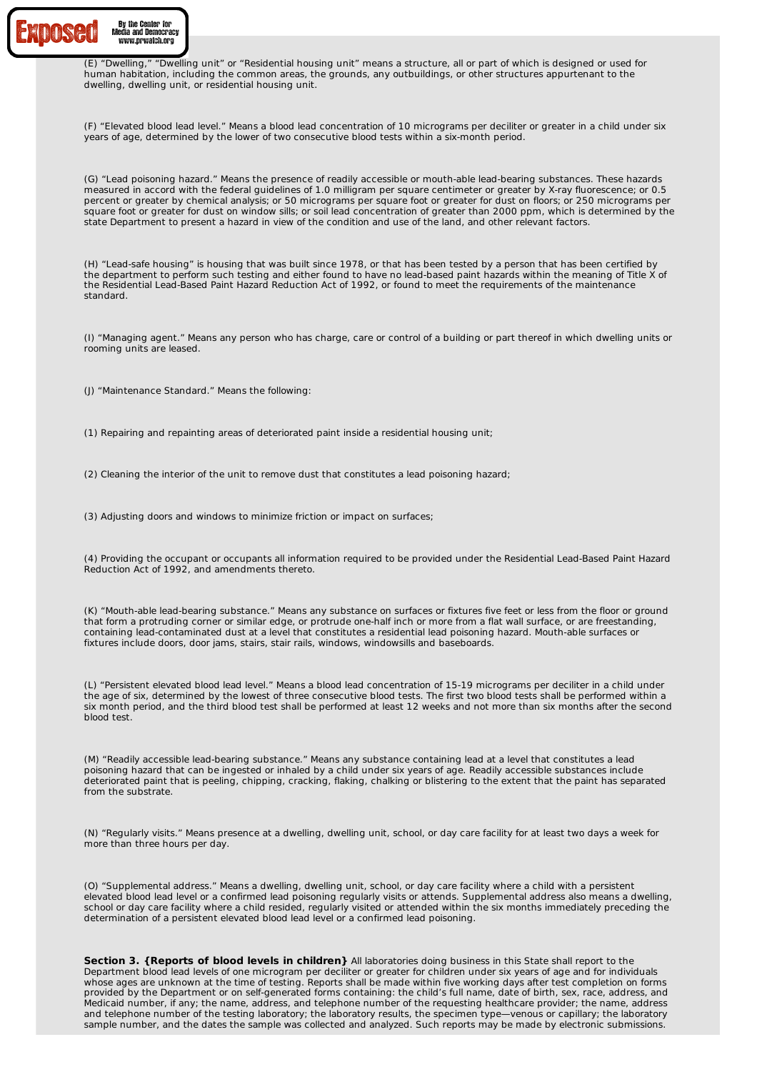

(E) "Dwelling," "Dwelling unit" or "Residential housing unit" means a structure, all or part of which is designed or used for human habitation, including the common areas, the grounds, any outbuildings, or other structures appurtenant to the dwelling, dwelling unit, or residential housing unit.

(F) "Elevated blood lead level." Means a blood lead concentration of 10 micrograms per deciliter or greater in a child under six years of age, determined by the lower of two consecutive blood tests within a six-month period.

(G) "Lead poisoning hazard." Means the presence of readily accessible or mouth-able lead-bearing substances. These hazards measured in accord with the federal guidelines of 1.0 milligram per square centimeter or greater by X-ray fluorescence; or 0.5 percent or greater by chemical analysis; or 50 micrograms per square foot or greater for dust on floors; or 250 micrograms per square foot or greater for dust on window sills; or soil lead concentration of greater than 2000 ppm, which is determined by the state Department to present a hazard in view of the condition and use of the land, and other relevant factors.

(H) "Lead-safe housing" is housing that was built since 1978, or that has been tested by a person that has been certified by the department to perform such testing and either found to have no lead-based paint hazards within the meaning of Title X of the Residential Lead-Based Paint Hazard Reduction Act of 1992, or found to meet the requirements of the maintenance standard.

(I) "Managing agent." Means any person who has charge, care or control of a building or part thereof in which dwelling units or rooming units are leased.

(J) "Maintenance Standard." Means the following:

(1) Repairing and repainting areas of deteriorated paint inside a residential housing unit;

(2) Cleaning the interior of the unit to remove dust that constitutes a lead poisoning hazard;

(3) Adjusting doors and windows to minimize friction or impact on surfaces;

(4) Providing the occupant or occupants all information required to be provided under the Residential Lead-Based Paint Hazard Reduction Act of 1992, and amendments thereto.

(K) "Mouth-able lead-bearing substance." Means any substance on surfaces or fixtures five feet or less from the floor or ground that form a protruding corner or similar edge, or protrude one-half inch or more from a flat wall surface, or are freestanding, containing lead-contaminated dust at a level that constitutes a residential lead poisoning hazard. Mouth-able surfaces or fixtures include doors, door jams, stairs, stair rails, windows, windowsills and baseboards.

(L) "Persistent elevated blood lead level." Means a blood lead concentration of 15-19 micrograms per deciliter in a child under the age of six, determined by the lowest of three consecutive blood tests. The first two blood tests shall be performed within a six month period, and the third blood test shall be performed at least 12 weeks and not more than six months after the second blood test.

(M) "Readily accessible lead-bearing substance." Means any substance containing lead at a level that constitutes a lead poisoning hazard that can be ingested or inhaled by a child under six years of age. Readily accessible substances include deteriorated paint that is peeling, chipping, cracking, flaking, chalking or blistering to the extent that the paint has separated from the substrate.

(N) "Regularly visits." Means presence at a dwelling, dwelling unit, school, or day care facility for at least two days a week for more than three hours per day.

(O) "Supplemental address." Means a dwelling, dwelling unit, school, or day care facility where a child with a persistent elevated blood lead level or a confirmed lead poisoning regularly visits or attends. Supplemental address also means a dwelling, school or day care facility where a child resided, regularly visited or attended within the six months immediately preceding the determination of a persistent elevated blood lead level or a confirmed lead poisoning.

**Section 3. {Reports of blood levels in children}** All laboratories doing business in this State shall report to the Department blood lead levels of one microgram per deciliter or greater for children under six years of age and for individuals whose ages are unknown at the time of testing. Reports shall be made within five working days after test completion on forms provided by the Department or on self-generated forms containing: the child's full name, date of birth, sex, race, address, and Medicaid number, if any; the name, address, and telephone number of the requesting healthcare provider; the name, address and telephone number of the testing laboratory; the laboratory results, the specimen type—venous or capillary; the laboratory sample number, and the dates the sample was collected and analyzed. Such reports may be made by electronic submissions.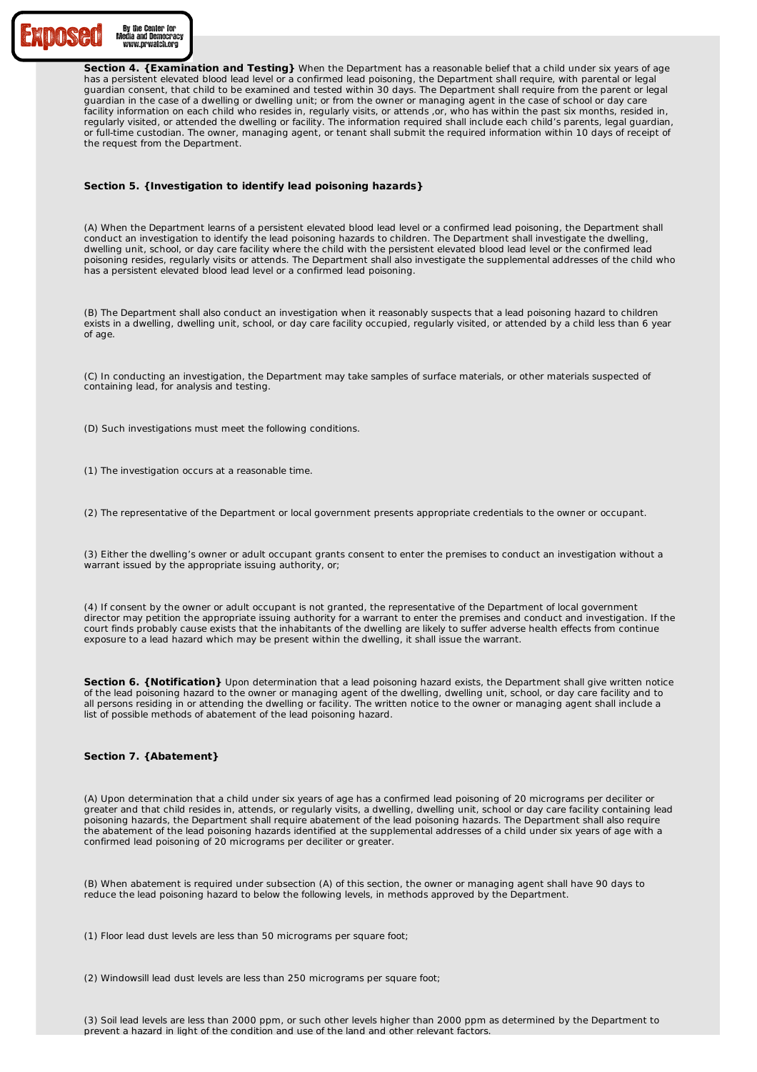

**Section 4. {Examination and Testing}** When the Department has a reasonable belief that a child under six years of age has a persistent elevated blood lead level or a confirmed lead poisoning, the Department shall require, with parental or legal guardian consent, that child to be examined and tested within 30 days. The Department shall require from the parent or legal guardian in the case of a dwelling or dwelling unit; or from the owner or managing agent in the case of school or day care facility information on each child who resides in, regularly visits, or attends ,or, who has within the past six months, resided in, regularly visited, or attended the dwelling or facility. The information required shall include each child's parents, legal guardian, or full-time custodian. The owner, managing agent, or tenant shall submit the required information within 10 days of receipt of the request from the Department.

# **Section 5. {Investigation to identify lead poisoning hazards}**

(A) When the Department learns of a persistent elevated blood lead level or a confirmed lead poisoning, the Department shall conduct an investigation to identify the lead poisoning hazards to children. The Department shall investigate the dwelling, dwelling unit, school, or day care facility where the child with the persistent elevated blood lead level or the confirmed lead poisoning resides, regularly visits or attends. The Department shall also investigate the supplemental addresses of the child who has a persistent elevated blood lead level or a confirmed lead poisoning.

(B) The Department shall also conduct an investigation when it reasonably suspects that a lead poisoning hazard to children exists in a dwelling, dwelling unit, school, or day care facility occupied, regularly visited, or attended by a child less than 6 year of age.

(C) In conducting an investigation, the Department may take samples of surface materials, or other materials suspected of containing lead, for analysis and testing.

- (D) Such investigations must meet the following conditions.
- (1) The investigation occurs at a reasonable time.

(2) The representative of the Department or local government presents appropriate credentials to the owner or occupant.

(3) Either the dwelling's owner or adult occupant grants consent to enter the premises to conduct an investigation without a warrant issued by the appropriate issuing authority, or;

(4) If consent by the owner or adult occupant is not granted, the representative of the Department of local government director may petition the appropriate issuing authority for a warrant to enter the premises and conduct and investigation. If the court finds probably cause exists that the inhabitants of the dwelling are likely to suffer adverse health effects from continue exposure to a lead hazard which may be present within the dwelling, it shall issue the warrant.

**Section 6. {Notification}** Upon determination that a lead poisoning hazard exists, the Department shall give written notice of the lead poisoning hazard to the owner or managing agent of the dwelling, dwelling unit, school, or day care facility and to all persons residing in or attending the dwelling or facility. The written notice to the owner or managing agent shall include a list of possible methods of abatement of the lead poisoning hazard.

# **Section 7. {Abatement}**

(A) Upon determination that a child under six years of age has a confirmed lead poisoning of 20 micrograms per deciliter or greater and that child resides in, attends, or regularly visits, a dwelling, dwelling unit, school or day care facility containing lead poisoning hazards, the Department shall require abatement of the lead poisoning hazards. The Department shall also require the abatement of the lead poisoning hazards identified at the supplemental addresses of a child under six years of age with a confirmed lead poisoning of 20 micrograms per deciliter or greater.

(B) When abatement is required under subsection (A) of this section, the owner or managing agent shall have 90 days to reduce the lead poisoning hazard to below the following levels, in methods approved by the Department.

(1) Floor lead dust levels are less than 50 micrograms per square foot;

(2) Windowsill lead dust levels are less than 250 micrograms per square foot;

(3) Soil lead levels are less than 2000 ppm, or such other levels higher than 2000 ppm as determined by the Department to prevent a hazard in light of the condition and use of the land and other relevant factors.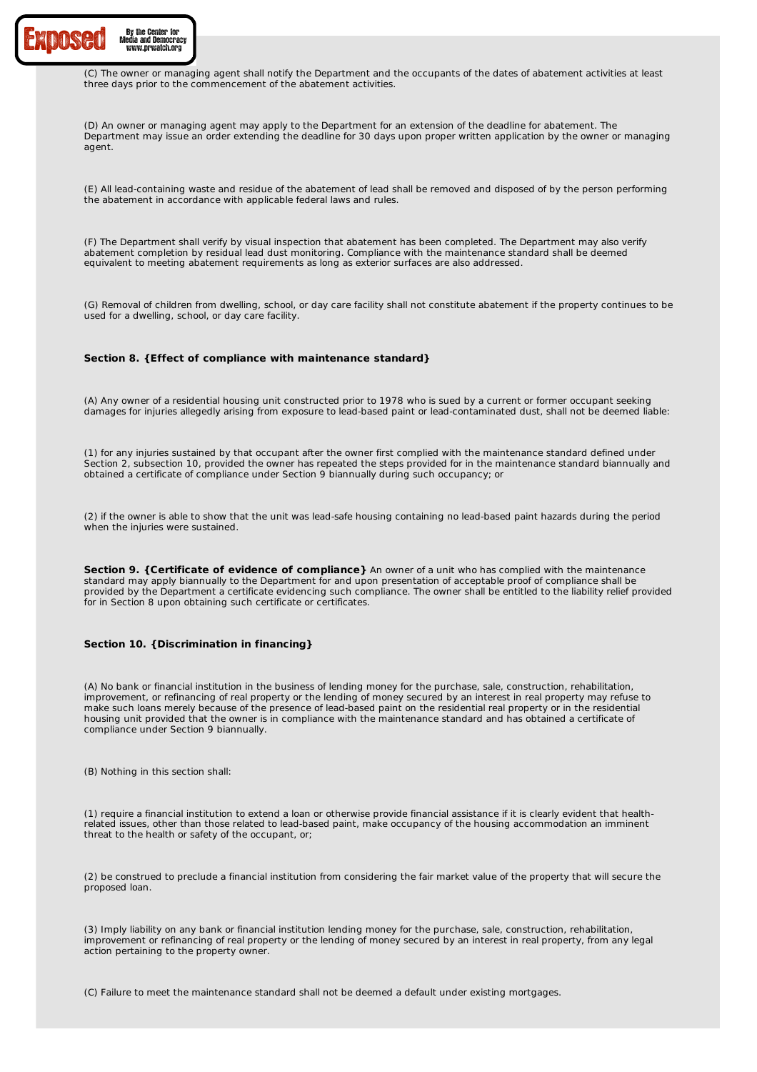

(C) The owner or managing agent shall notify the Department and the occupants of the dates of abatement activities at least three days prior to the commencement of the abatement activities.

(D) An owner or managing agent may apply to the Department for an extension of the deadline for abatement. The Department may issue an order extending the deadline for 30 days upon proper written application by the owner or managing agent.

(E) All lead-containing waste and residue of the abatement of lead shall be removed and disposed of by the person performing the abatement in accordance with applicable federal laws and rules.

(F) The Department shall verify by visual inspection that abatement has been completed. The Department may also verify abatement completion by residual lead dust monitoring. Compliance with the maintenance standard shall be deemed equivalent to meeting abatement requirements as long as exterior surfaces are also addressed.

(G) Removal of children from dwelling, school, or day care facility shall not constitute abatement if the property continues to be used for a dwelling, school, or day care facility.

#### **Section 8. {Effect of compliance with maintenance standard}**

(A) Any owner of a residential housing unit constructed prior to 1978 who is sued by a current or former occupant seeking damages for injuries allegedly arising from exposure to lead-based paint or lead-contaminated dust, shall not be deemed liable:

(1) for any injuries sustained by that occupant after the owner first complied with the maintenance standard defined under Section 2, subsection 10, provided the owner has repeated the steps provided for in the maintenance standard biannually and obtained a certificate of compliance under Section 9 biannually during such occupancy; or

(2) if the owner is able to show that the unit was lead-safe housing containing no lead-based paint hazards during the period when the injuries were sustained.

**Section 9. {Certificate of evidence of compliance}** An owner of a unit who has complied with the maintenance standard may apply biannually to the Department for and upon presentation of acceptable proof of compliance shall be provided by the Department a certificate evidencing such compliance. The owner shall be entitled to the liability relief provided for in Section 8 upon obtaining such certificate or certificates.

# **Section 10. {Discrimination in financing}**

(A) No bank or financial institution in the business of lending money for the purchase, sale, construction, rehabilitation, improvement, or refinancing of real property or the lending of money secured by an interest in real property may refuse to make such loans merely because of the presence of lead-based paint on the residential real property or in the residential housing unit provided that the owner is in compliance with the maintenance standard and has obtained a certificate of compliance under Section 9 biannually.

(B) Nothing in this section shall:

(1) require a financial institution to extend a loan or otherwise provide financial assistance if it is clearly evident that healthrelated issues, other than those related to lead-based paint, make occupancy of the housing accommodation an imminent threat to the health or safety of the occupant, or;

(2) be construed to preclude a financial institution from considering the fair market value of the property that will secure the proposed loan.

(3) Imply liability on any bank or financial institution lending money for the purchase, sale, construction, rehabilitation, improvement or refinancing of real property or the lending of money secured by an interest in real property, from any legal action pertaining to the property owner.

(C) Failure to meet the maintenance standard shall not be deemed a default under existing mortgages.